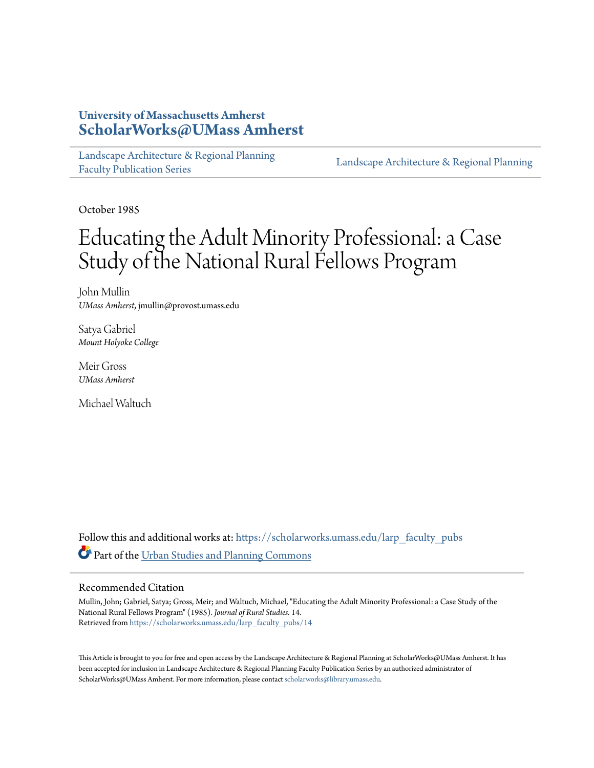## **University of Massachusetts Amherst [ScholarWorks@UMass Amherst](https://scholarworks.umass.edu?utm_source=scholarworks.umass.edu%2Flarp_faculty_pubs%2F14&utm_medium=PDF&utm_campaign=PDFCoverPages)**

[Landscape Architecture & Regional Planning](https://scholarworks.umass.edu/larp_faculty_pubs?utm_source=scholarworks.umass.edu%2Flarp_faculty_pubs%2F14&utm_medium=PDF&utm_campaign=PDFCoverPages) [Faculty Publication Series](https://scholarworks.umass.edu/larp_faculty_pubs?utm_source=scholarworks.umass.edu%2Flarp_faculty_pubs%2F14&utm_medium=PDF&utm_campaign=PDFCoverPages)

[Landscape Architecture & Regional Planning](https://scholarworks.umass.edu/larp?utm_source=scholarworks.umass.edu%2Flarp_faculty_pubs%2F14&utm_medium=PDF&utm_campaign=PDFCoverPages)

October 1985

# Educating the Adult Minority Professional: a Case Study of the National Rural Fellows Program

John Mullin *UMass Amherst*, jmullin@provost.umass.edu

Satya Gabriel *Mount Holyoke College*

Meir Gross *UMass Amherst*

Michael Waltuch

Follow this and additional works at: [https://scholarworks.umass.edu/larp\\_faculty\\_pubs](https://scholarworks.umass.edu/larp_faculty_pubs?utm_source=scholarworks.umass.edu%2Flarp_faculty_pubs%2F14&utm_medium=PDF&utm_campaign=PDFCoverPages) Part of the [Urban Studies and Planning Commons](http://network.bepress.com/hgg/discipline/436?utm_source=scholarworks.umass.edu%2Flarp_faculty_pubs%2F14&utm_medium=PDF&utm_campaign=PDFCoverPages)

#### Recommended Citation

Mullin, John; Gabriel, Satya; Gross, Meir; and Waltuch, Michael, "Educating the Adult Minority Professional: a Case Study of the National Rural Fellows Program" (1985). *Journal of Rural Studies*. 14. Retrieved from [https://scholarworks.umass.edu/larp\\_faculty\\_pubs/14](https://scholarworks.umass.edu/larp_faculty_pubs/14?utm_source=scholarworks.umass.edu%2Flarp_faculty_pubs%2F14&utm_medium=PDF&utm_campaign=PDFCoverPages)

This Article is brought to you for free and open access by the Landscape Architecture & Regional Planning at ScholarWorks@UMass Amherst. It has been accepted for inclusion in Landscape Architecture & Regional Planning Faculty Publication Series by an authorized administrator of ScholarWorks@UMass Amherst. For more information, please contact [scholarworks@library.umass.edu.](mailto:scholarworks@library.umass.edu)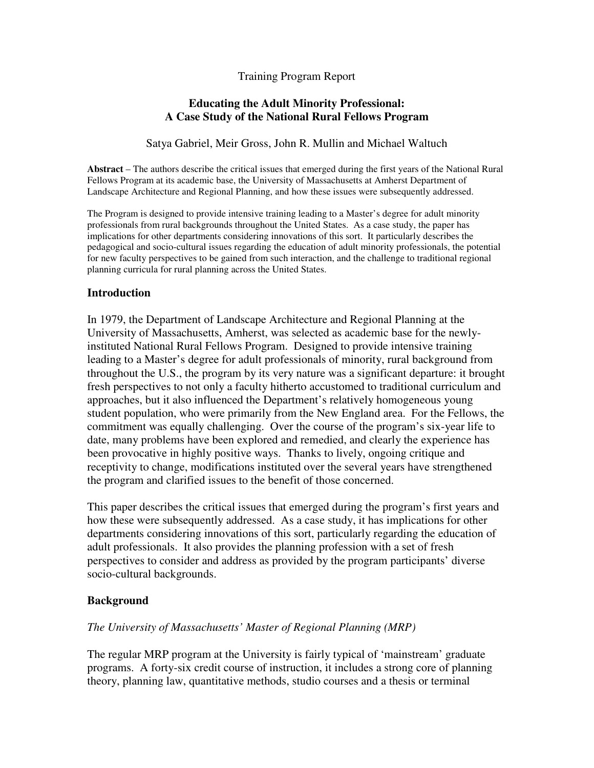#### Training Program Report

#### **Educating the Adult Minority Professional: A Case Study of the National Rural Fellows Program**

#### Satya Gabriel, Meir Gross, John R. Mullin and Michael Waltuch

**Abstract** – The authors describe the critical issues that emerged during the first years of the National Rural Fellows Program at its academic base, the University of Massachusetts at Amherst Department of Landscape Architecture and Regional Planning, and how these issues were subsequently addressed.

The Program is designed to provide intensive training leading to a Master's degree for adult minority professionals from rural backgrounds throughout the United States. As a case study, the paper has implications for other departments considering innovations of this sort. It particularly describes the pedagogical and socio-cultural issues regarding the education of adult minority professionals, the potential for new faculty perspectives to be gained from such interaction, and the challenge to traditional regional planning curricula for rural planning across the United States.

#### **Introduction**

In 1979, the Department of Landscape Architecture and Regional Planning at the University of Massachusetts, Amherst, was selected as academic base for the newlyinstituted National Rural Fellows Program. Designed to provide intensive training leading to a Master's degree for adult professionals of minority, rural background from throughout the U.S., the program by its very nature was a significant departure: it brought fresh perspectives to not only a faculty hitherto accustomed to traditional curriculum and approaches, but it also influenced the Department's relatively homogeneous young student population, who were primarily from the New England area. For the Fellows, the commitment was equally challenging. Over the course of the program's six-year life to date, many problems have been explored and remedied, and clearly the experience has been provocative in highly positive ways. Thanks to lively, ongoing critique and receptivity to change, modifications instituted over the several years have strengthened the program and clarified issues to the benefit of those concerned.

This paper describes the critical issues that emerged during the program's first years and how these were subsequently addressed. As a case study, it has implications for other departments considering innovations of this sort, particularly regarding the education of adult professionals. It also provides the planning profession with a set of fresh perspectives to consider and address as provided by the program participants' diverse socio-cultural backgrounds.

#### **Background**

#### *The University of Massachusetts' Master of Regional Planning (MRP)*

The regular MRP program at the University is fairly typical of 'mainstream' graduate programs. A forty-six credit course of instruction, it includes a strong core of planning theory, planning law, quantitative methods, studio courses and a thesis or terminal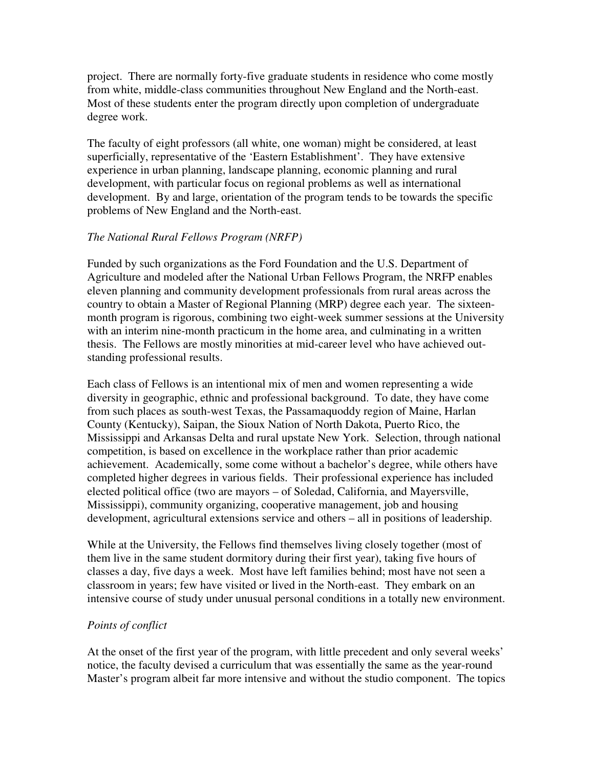project. There are normally forty-five graduate students in residence who come mostly from white, middle-class communities throughout New England and the North-east. Most of these students enter the program directly upon completion of undergraduate degree work.

The faculty of eight professors (all white, one woman) might be considered, at least superficially, representative of the 'Eastern Establishment'. They have extensive experience in urban planning, landscape planning, economic planning and rural development, with particular focus on regional problems as well as international development. By and large, orientation of the program tends to be towards the specific problems of New England and the North-east.

#### *The National Rural Fellows Program (NRFP)*

Funded by such organizations as the Ford Foundation and the U.S. Department of Agriculture and modeled after the National Urban Fellows Program, the NRFP enables eleven planning and community development professionals from rural areas across the country to obtain a Master of Regional Planning (MRP) degree each year. The sixteenmonth program is rigorous, combining two eight-week summer sessions at the University with an interim nine-month practicum in the home area, and culminating in a written thesis. The Fellows are mostly minorities at mid-career level who have achieved outstanding professional results.

Each class of Fellows is an intentional mix of men and women representing a wide diversity in geographic, ethnic and professional background. To date, they have come from such places as south-west Texas, the Passamaquoddy region of Maine, Harlan County (Kentucky), Saipan, the Sioux Nation of North Dakota, Puerto Rico, the Mississippi and Arkansas Delta and rural upstate New York. Selection, through national competition, is based on excellence in the workplace rather than prior academic achievement. Academically, some come without a bachelor's degree, while others have completed higher degrees in various fields. Their professional experience has included elected political office (two are mayors – of Soledad, California, and Mayersville, Mississippi), community organizing, cooperative management, job and housing development, agricultural extensions service and others – all in positions of leadership.

While at the University, the Fellows find themselves living closely together (most of them live in the same student dormitory during their first year), taking five hours of classes a day, five days a week. Most have left families behind; most have not seen a classroom in years; few have visited or lived in the North-east. They embark on an intensive course of study under unusual personal conditions in a totally new environment.

#### *Points of conflict*

At the onset of the first year of the program, with little precedent and only several weeks' notice, the faculty devised a curriculum that was essentially the same as the year-round Master's program albeit far more intensive and without the studio component. The topics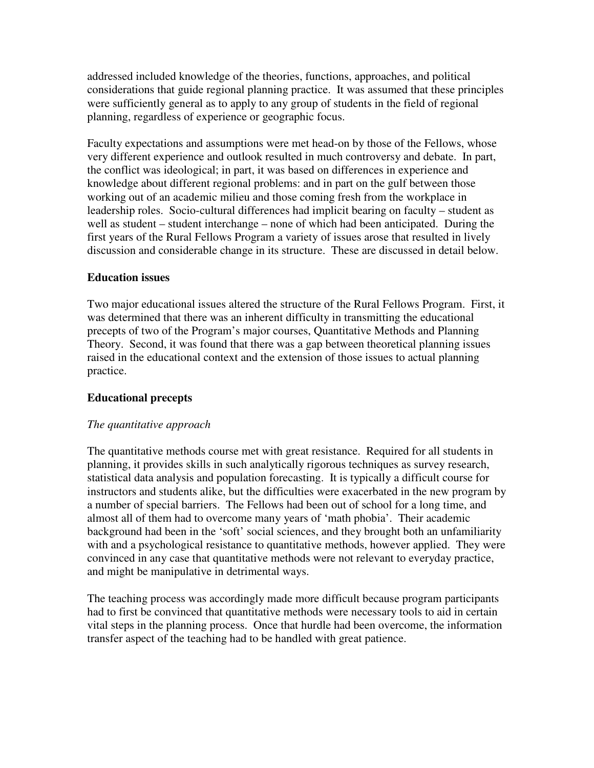addressed included knowledge of the theories, functions, approaches, and political considerations that guide regional planning practice. It was assumed that these principles were sufficiently general as to apply to any group of students in the field of regional planning, regardless of experience or geographic focus.

Faculty expectations and assumptions were met head-on by those of the Fellows, whose very different experience and outlook resulted in much controversy and debate. In part, the conflict was ideological; in part, it was based on differences in experience and knowledge about different regional problems: and in part on the gulf between those working out of an academic milieu and those coming fresh from the workplace in leadership roles. Socio-cultural differences had implicit bearing on faculty – student as well as student – student interchange – none of which had been anticipated. During the first years of the Rural Fellows Program a variety of issues arose that resulted in lively discussion and considerable change in its structure. These are discussed in detail below.

#### **Education issues**

Two major educational issues altered the structure of the Rural Fellows Program. First, it was determined that there was an inherent difficulty in transmitting the educational precepts of two of the Program's major courses, Quantitative Methods and Planning Theory. Second, it was found that there was a gap between theoretical planning issues raised in the educational context and the extension of those issues to actual planning practice.

## **Educational precepts**

## *The quantitative approach*

The quantitative methods course met with great resistance. Required for all students in planning, it provides skills in such analytically rigorous techniques as survey research, statistical data analysis and population forecasting. It is typically a difficult course for instructors and students alike, but the difficulties were exacerbated in the new program by a number of special barriers. The Fellows had been out of school for a long time, and almost all of them had to overcome many years of 'math phobia'. Their academic background had been in the 'soft' social sciences, and they brought both an unfamiliarity with and a psychological resistance to quantitative methods, however applied. They were convinced in any case that quantitative methods were not relevant to everyday practice, and might be manipulative in detrimental ways.

The teaching process was accordingly made more difficult because program participants had to first be convinced that quantitative methods were necessary tools to aid in certain vital steps in the planning process. Once that hurdle had been overcome, the information transfer aspect of the teaching had to be handled with great patience.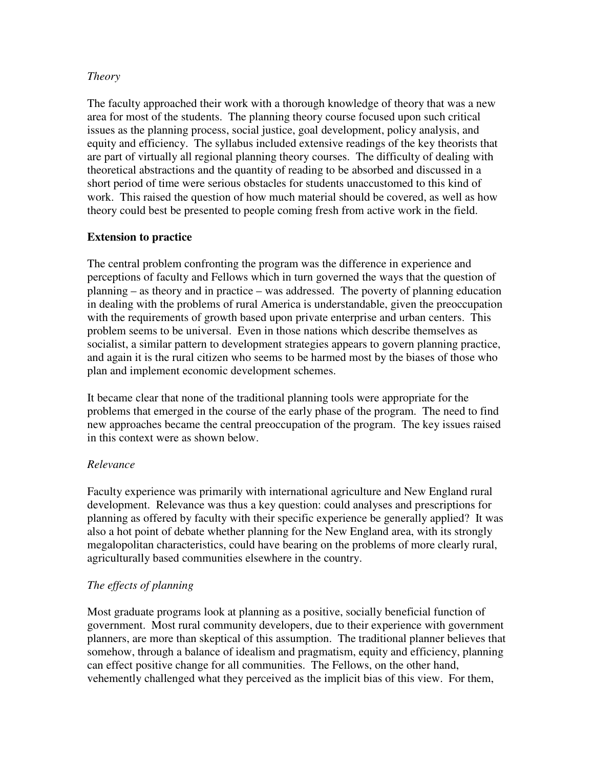#### *Theory*

The faculty approached their work with a thorough knowledge of theory that was a new area for most of the students. The planning theory course focused upon such critical issues as the planning process, social justice, goal development, policy analysis, and equity and efficiency. The syllabus included extensive readings of the key theorists that are part of virtually all regional planning theory courses. The difficulty of dealing with theoretical abstractions and the quantity of reading to be absorbed and discussed in a short period of time were serious obstacles for students unaccustomed to this kind of work. This raised the question of how much material should be covered, as well as how theory could best be presented to people coming fresh from active work in the field.

#### **Extension to practice**

The central problem confronting the program was the difference in experience and perceptions of faculty and Fellows which in turn governed the ways that the question of planning – as theory and in practice – was addressed. The poverty of planning education in dealing with the problems of rural America is understandable, given the preoccupation with the requirements of growth based upon private enterprise and urban centers. This problem seems to be universal. Even in those nations which describe themselves as socialist, a similar pattern to development strategies appears to govern planning practice, and again it is the rural citizen who seems to be harmed most by the biases of those who plan and implement economic development schemes.

It became clear that none of the traditional planning tools were appropriate for the problems that emerged in the course of the early phase of the program. The need to find new approaches became the central preoccupation of the program. The key issues raised in this context were as shown below.

## *Relevance*

Faculty experience was primarily with international agriculture and New England rural development. Relevance was thus a key question: could analyses and prescriptions for planning as offered by faculty with their specific experience be generally applied? It was also a hot point of debate whether planning for the New England area, with its strongly megalopolitan characteristics, could have bearing on the problems of more clearly rural, agriculturally based communities elsewhere in the country.

## *The effects of planning*

Most graduate programs look at planning as a positive, socially beneficial function of government. Most rural community developers, due to their experience with government planners, are more than skeptical of this assumption. The traditional planner believes that somehow, through a balance of idealism and pragmatism, equity and efficiency, planning can effect positive change for all communities. The Fellows, on the other hand, vehemently challenged what they perceived as the implicit bias of this view. For them,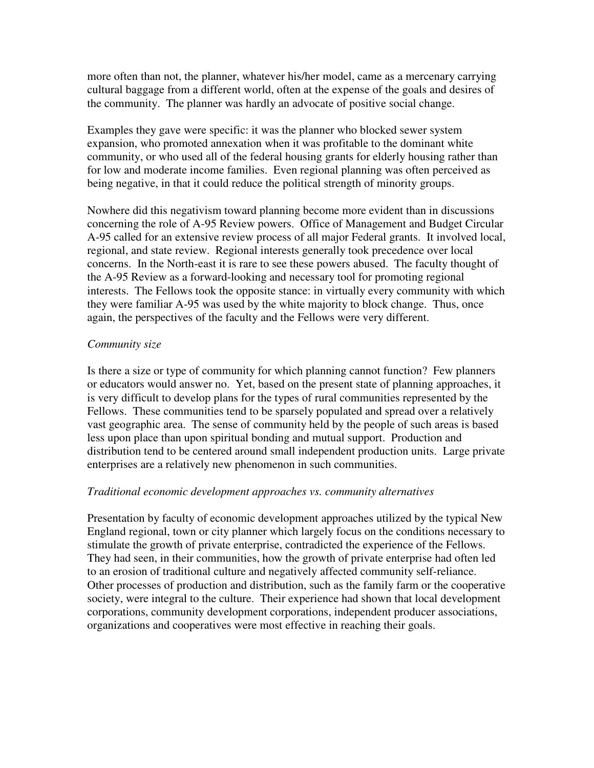more often than not, the planner, whatever his/her model, came as a mercenary carrying cultural baggage from a different world, often at the expense of the goals and desires of the community. The planner was hardly an advocate of positive social change.

Examples they gave were specific: it was the planner who blocked sewer system expansion, who promoted annexation when it was profitable to the dominant white community, or who used all of the federal housing grants for elderly housing rather than for low and moderate income families. Even regional planning was often perceived as being negative, in that it could reduce the political strength of minority groups.

Nowhere did this negativism toward planning become more evident than in discussions concerning the role of A-95 Review powers. Office of Management and Budget Circular A-95 called for an extensive review process of all major Federal grants. It involved local, regional, and state review. Regional interests generally took precedence over local concerns. In the North-east it is rare to see these powers abused. The faculty thought of the A-95 Review as a forward-looking and necessary tool for promoting regional interests. The Fellows took the opposite stance: in virtually every community with which they were familiar A-95 was used by the white majority to block change. Thus, once again, the perspectives of the faculty and the Fellows were very different.

#### *Community size*

Is there a size or type of community for which planning cannot function? Few planners or educators would answer no. Yet, based on the present state of planning approaches, it is very difficult to develop plans for the types of rural communities represented by the Fellows. These communities tend to be sparsely populated and spread over a relatively vast geographic area. The sense of community held by the people of such areas is based less upon place than upon spiritual bonding and mutual support. Production and distribution tend to be centered around small independent production units. Large private enterprises are a relatively new phenomenon in such communities.

#### *Traditional economic development approaches vs. community alternatives*

Presentation by faculty of economic development approaches utilized by the typical New England regional, town or city planner which largely focus on the conditions necessary to stimulate the growth of private enterprise, contradicted the experience of the Fellows. They had seen, in their communities, how the growth of private enterprise had often led to an erosion of traditional culture and negatively affected community self-reliance. Other processes of production and distribution, such as the family farm or the cooperative society, were integral to the culture. Their experience had shown that local development corporations, community development corporations, independent producer associations, organizations and cooperatives were most effective in reaching their goals.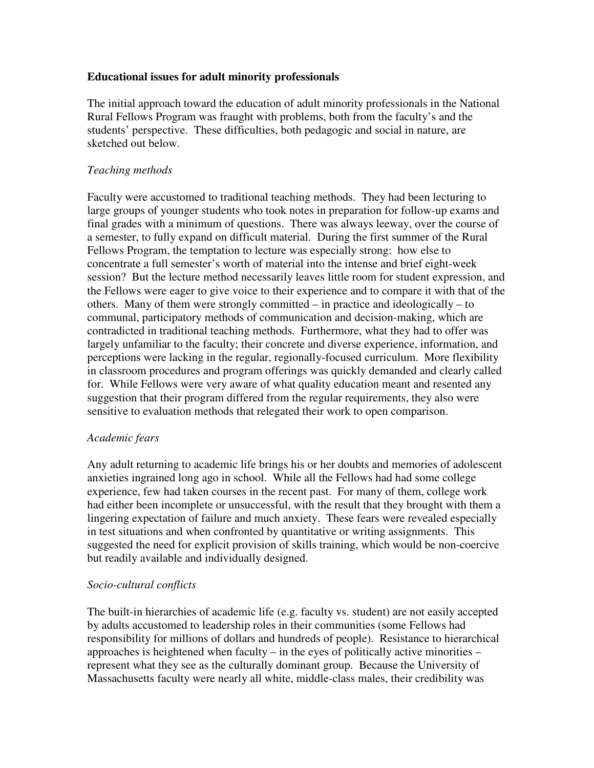#### **Educational issues for adult minority professionals**

The initial approach toward the education of adult minority professionals in the National Rural Fellows Program was fraught with problems, both from the faculty's and the students' perspective. These difficulties, both pedagogic and social in nature, are sketched out below.

#### *Teaching methods*

Faculty were accustomed to traditional teaching methods. They had been lecturing to large groups of younger students who took notes in preparation for follow-up exams and final grades with a minimum of questions. There was always leeway, over the course of a semester, to fully expand on difficult material. During the first summer of the Rural Fellows Program, the temptation to lecture was especially strong: how else to concentrate a full semester's worth of material into the intense and brief eight-week session? But the lecture method necessarily leaves little room for student expression, and the Fellows were eager to give voice to their experience and to compare it with that of the others. Many of them were strongly committed – in practice and ideologically – to communal, participatory methods of communication and decision-making, which are contradicted in traditional teaching methods. Furthermore, what they had to offer was largely unfamiliar to the faculty; their concrete and diverse experience, information, and perceptions were lacking in the regular, regionally-focused curriculum. More flexibility in classroom procedures and program offerings was quickly demanded and clearly called for. While Fellows were very aware of what quality education meant and resented any suggestion that their program differed from the regular requirements, they also were sensitive to evaluation methods that relegated their work to open comparison.

#### *Academic fears*

Any adult returning to academic life brings his or her doubts and memories of adolescent anxieties ingrained long ago in school. While all the Fellows had had some college experience, few had taken courses in the recent past. For many of them, college work had either been incomplete or unsuccessful, with the result that they brought with them a lingering expectation of failure and much anxiety. These fears were revealed especially in test situations and when confronted by quantitative or writing assignments. This suggested the need for explicit provision of skills training, which would be non-coercive but readily available and individually designed.

#### *Socio-cultural conflicts*

The built-in hierarchies of academic life (e.g. faculty vs. student) are not easily accepted by adults accustomed to leadership roles in their communities (some Fellows had responsibility for millions of dollars and hundreds of people). Resistance to hierarchical approaches is heightened when faculty – in the eyes of politically active minorities – represent what they see as the culturally dominant group. Because the University of Massachusetts faculty were nearly all white, middle-class males, their credibility was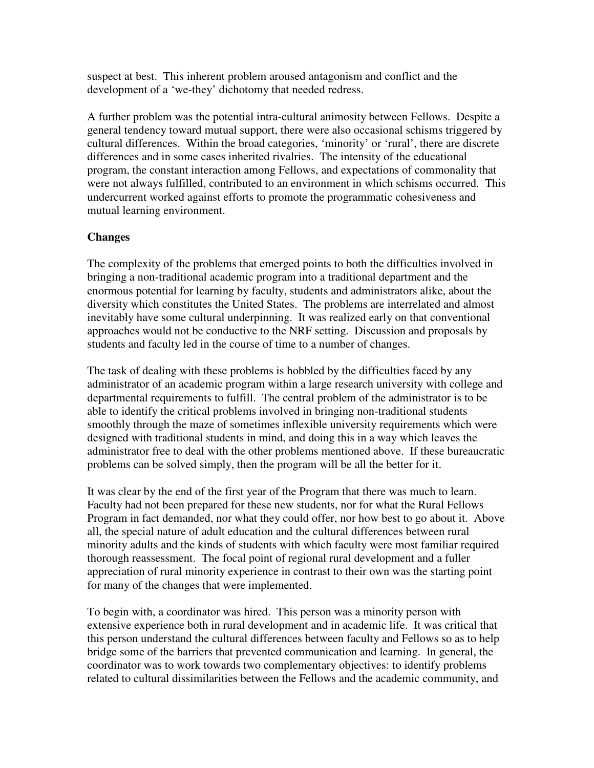suspect at best. This inherent problem aroused antagonism and conflict and the development of a 'we-they' dichotomy that needed redress.

A further problem was the potential intra-cultural animosity between Fellows. Despite a general tendency toward mutual support, there were also occasional schisms triggered by cultural differences. Within the broad categories, 'minority' or 'rural', there are discrete differences and in some cases inherited rivalries. The intensity of the educational program, the constant interaction among Fellows, and expectations of commonality that were not always fulfilled, contributed to an environment in which schisms occurred. This undercurrent worked against efforts to promote the programmatic cohesiveness and mutual learning environment.

## **Changes**

The complexity of the problems that emerged points to both the difficulties involved in bringing a non-traditional academic program into a traditional department and the enormous potential for learning by faculty, students and administrators alike, about the diversity which constitutes the United States. The problems are interrelated and almost inevitably have some cultural underpinning. It was realized early on that conventional approaches would not be conductive to the NRF setting. Discussion and proposals by students and faculty led in the course of time to a number of changes.

The task of dealing with these problems is hobbled by the difficulties faced by any administrator of an academic program within a large research university with college and departmental requirements to fulfill. The central problem of the administrator is to be able to identify the critical problems involved in bringing non-traditional students smoothly through the maze of sometimes inflexible university requirements which were designed with traditional students in mind, and doing this in a way which leaves the administrator free to deal with the other problems mentioned above. If these bureaucratic problems can be solved simply, then the program will be all the better for it.

It was clear by the end of the first year of the Program that there was much to learn. Faculty had not been prepared for these new students, nor for what the Rural Fellows Program in fact demanded, nor what they could offer, nor how best to go about it. Above all, the special nature of adult education and the cultural differences between rural minority adults and the kinds of students with which faculty were most familiar required thorough reassessment. The focal point of regional rural development and a fuller appreciation of rural minority experience in contrast to their own was the starting point for many of the changes that were implemented.

To begin with, a coordinator was hired. This person was a minority person with extensive experience both in rural development and in academic life. It was critical that this person understand the cultural differences between faculty and Fellows so as to help bridge some of the barriers that prevented communication and learning. In general, the coordinator was to work towards two complementary objectives: to identify problems related to cultural dissimilarities between the Fellows and the academic community, and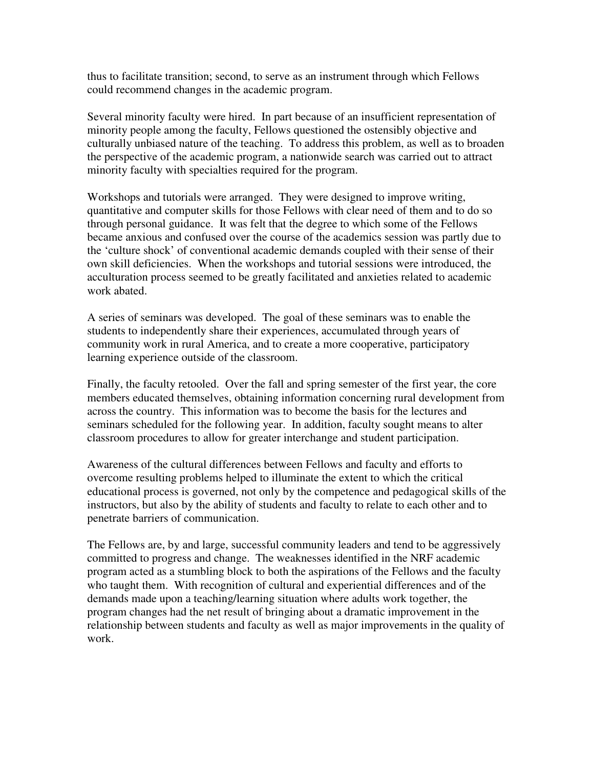thus to facilitate transition; second, to serve as an instrument through which Fellows could recommend changes in the academic program.

Several minority faculty were hired. In part because of an insufficient representation of minority people among the faculty, Fellows questioned the ostensibly objective and culturally unbiased nature of the teaching. To address this problem, as well as to broaden the perspective of the academic program, a nationwide search was carried out to attract minority faculty with specialties required for the program.

Workshops and tutorials were arranged. They were designed to improve writing, quantitative and computer skills for those Fellows with clear need of them and to do so through personal guidance. It was felt that the degree to which some of the Fellows became anxious and confused over the course of the academics session was partly due to the 'culture shock' of conventional academic demands coupled with their sense of their own skill deficiencies. When the workshops and tutorial sessions were introduced, the acculturation process seemed to be greatly facilitated and anxieties related to academic work abated.

A series of seminars was developed. The goal of these seminars was to enable the students to independently share their experiences, accumulated through years of community work in rural America, and to create a more cooperative, participatory learning experience outside of the classroom.

Finally, the faculty retooled. Over the fall and spring semester of the first year, the core members educated themselves, obtaining information concerning rural development from across the country. This information was to become the basis for the lectures and seminars scheduled for the following year. In addition, faculty sought means to alter classroom procedures to allow for greater interchange and student participation.

Awareness of the cultural differences between Fellows and faculty and efforts to overcome resulting problems helped to illuminate the extent to which the critical educational process is governed, not only by the competence and pedagogical skills of the instructors, but also by the ability of students and faculty to relate to each other and to penetrate barriers of communication.

The Fellows are, by and large, successful community leaders and tend to be aggressively committed to progress and change. The weaknesses identified in the NRF academic program acted as a stumbling block to both the aspirations of the Fellows and the faculty who taught them. With recognition of cultural and experiential differences and of the demands made upon a teaching/learning situation where adults work together, the program changes had the net result of bringing about a dramatic improvement in the relationship between students and faculty as well as major improvements in the quality of work.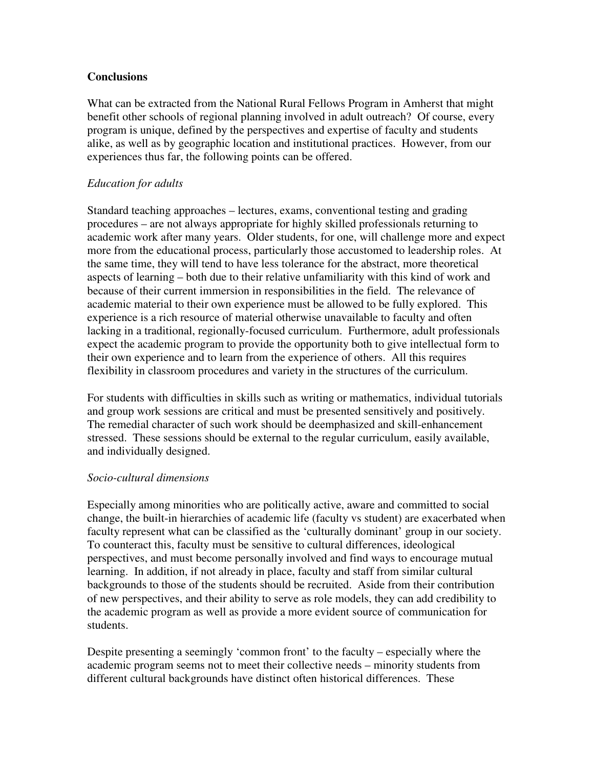#### **Conclusions**

What can be extracted from the National Rural Fellows Program in Amherst that might benefit other schools of regional planning involved in adult outreach? Of course, every program is unique, defined by the perspectives and expertise of faculty and students alike, as well as by geographic location and institutional practices. However, from our experiences thus far, the following points can be offered.

#### *Education for adults*

Standard teaching approaches – lectures, exams, conventional testing and grading procedures – are not always appropriate for highly skilled professionals returning to academic work after many years. Older students, for one, will challenge more and expect more from the educational process, particularly those accustomed to leadership roles. At the same time, they will tend to have less tolerance for the abstract, more theoretical aspects of learning – both due to their relative unfamiliarity with this kind of work and because of their current immersion in responsibilities in the field. The relevance of academic material to their own experience must be allowed to be fully explored. This experience is a rich resource of material otherwise unavailable to faculty and often lacking in a traditional, regionally-focused curriculum. Furthermore, adult professionals expect the academic program to provide the opportunity both to give intellectual form to their own experience and to learn from the experience of others. All this requires flexibility in classroom procedures and variety in the structures of the curriculum.

For students with difficulties in skills such as writing or mathematics, individual tutorials and group work sessions are critical and must be presented sensitively and positively. The remedial character of such work should be deemphasized and skill-enhancement stressed. These sessions should be external to the regular curriculum, easily available, and individually designed.

#### *Socio-cultural dimensions*

Especially among minorities who are politically active, aware and committed to social change, the built-in hierarchies of academic life (faculty vs student) are exacerbated when faculty represent what can be classified as the 'culturally dominant' group in our society. To counteract this, faculty must be sensitive to cultural differences, ideological perspectives, and must become personally involved and find ways to encourage mutual learning. In addition, if not already in place, faculty and staff from similar cultural backgrounds to those of the students should be recruited. Aside from their contribution of new perspectives, and their ability to serve as role models, they can add credibility to the academic program as well as provide a more evident source of communication for students.

Despite presenting a seemingly 'common front' to the faculty – especially where the academic program seems not to meet their collective needs – minority students from different cultural backgrounds have distinct often historical differences. These